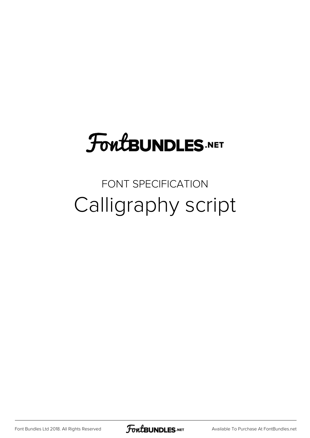## **FoutBUNDLES.NET**

## FONT SPECIFICATION Calligraphy script

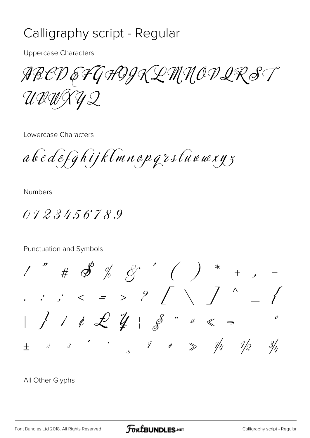## Calligraphy script - Regular

**Uppercase Characters** 

ABCDEFGAOJKLMMODIRST UIWXYQ

Lowercase Characters

a bedefghijklmnopgrstuowxyz

**Numbers** 

0123456789

Punctuation and Symbols

 $1''$  #  $\mathscr{S}$  % &  $\qquad'$  ( ) \* + ,  $1 / i \notin L_{\#} \times S^{n} \times S$  $\mathscr O$  $\begin{array}{ccccccccc}\n2 & & 3 & & & & \cdot & & \cdot & \\
\end{array}$  $\begin{array}{ccccc} & 7 & & \circ & \Rightarrow & \frac{1}{4} & \frac{1}{2} \end{array}$  $3/$  $+$ 

All Other Glyphs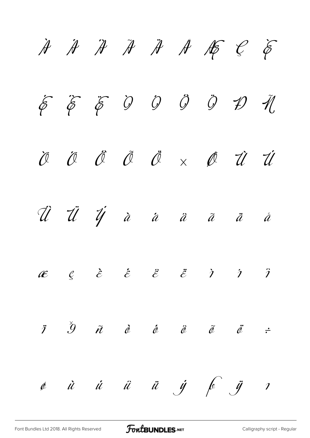$\begin{array}{cccccccccccccc} \mathcal{A} & \mathcal{A} & \mathcal{A} & \mathcal{A} & \mathcal{A} & \mathcal{A} & \mathcal{A} & \mathcal{A} & \mathcal{A} & \mathcal{A} & \mathcal{A} & \mathcal{A} & \mathcal{A} & \mathcal{A} & \mathcal{A} & \mathcal{A} & \mathcal{A} & \mathcal{A} & \mathcal{A} & \mathcal{A} & \mathcal{A} & \mathcal{A} & \mathcal{A} & \mathcal{A} & \mathcal{A} & \mathcal{A} & \mathcal{A} & \mathcal{A} & \mathcal{A} & \mathcal{A} &$  $\acute{\epsilon}$   $\acute{\epsilon}$   $\acute{\epsilon}$   $\acute{0}$   $\acute{0}$   $\acute{0}$   $\acute{0}$   $\acute{1}$   $\acute{1}$ Ò Ó Ô Õ Ö × Ø Ù Ú Û Ü Ý à á â ã ä å  $\mathscr{E}$   $\varrho$   $\mathscr{E}$   $\mathscr{E}$   $\mathscr{E}$   $\mathscr{E}$   $\mathscr{E}$   $\mathscr{E}$   $\mathscr{E}$   $\mathscr{E}$   $\mathscr{E}$   $\mathscr{E}$   $\mathscr{E}$   $\mathscr{E}$   $\mathscr{E}$   $\mathscr{E}$   $\mathscr{E}$   $\mathscr{E}$   $\mathscr{E}$   $\mathscr{E}$   $\mathscr{E}$   $\mathscr{E}$   $\mathscr{E}$   $\mathscr{E}$   $\mathscr{E}$  $\begin{array}{ccc} \ddot{\imath} & \ddot{\imath} & \ddot{\imath} & \ddot{\imath} & \ddot{\imath} & \ddot{\imath} & \ddot{\imath} & \ddot{\imath} & \ddot{\imath} & \ddot{\imath} & \ddot{\imath} & \ddot{\imath} & \ddot{\imath} & \ddot{\imath} & \ddot{\imath} & \ddot{\imath} & \ddot{\imath} & \ddot{\imath} & \ddot{\imath} & \ddot{\imath} & \ddot{\imath} & \ddot{\imath} & \ddot{\imath} & \ddot{\imath} & \ddot{\imath} & \ddot{\imath} & \ddot{\im$ ø ù ú û ü ý þ ÿ ı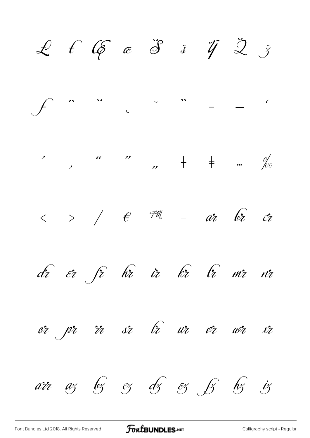$L f G \epsilon \delta$  i  $\ddot{q} \dot{z}$  $\overline{\phantom{a}}$  $\int f$  $\overline{\phantom{a}}$  $>$  /  $\epsilon$   $\tau$  -  $a$ r  $c$   $c$  $\langle$ dr er fr hr ir hr lr mr nr rr sr *tr ur vr wr xr* or pr arr az 63 cz dz & 63 hz iz

**FoutBUNDLES**.NET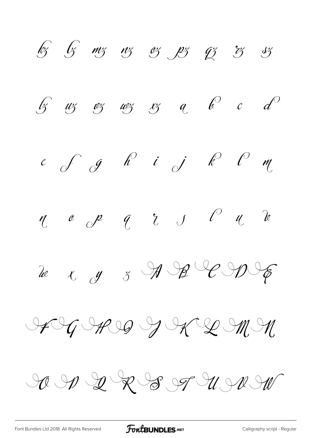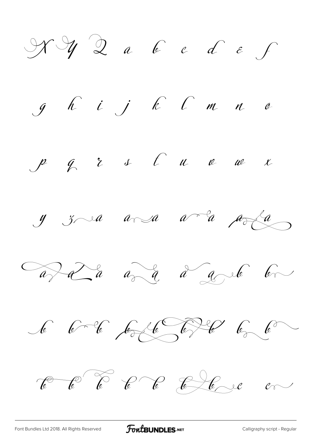$\mathcal{H} \mathcal{Y}$  2 a 6 c d  $\varepsilon$  f  $g$   $h$   $i$   $j$   $k$   $c$   $m$   $n$   $a$  $\begin{array}{cccccccccccccccccc} \mathcal{P} & \mathcal{G} & \mathcal{E} & \mathcal{I} & \mathcal{C} & \mathcal{C} & \mathcal{U} & \mathcal{C} & \mathcal{W} & \mathcal{K} \end{array}$  $y$   $z \sim a$   $a \sim a$   $a \sim a$   $a \sim b$ avaza ava a a ava a 6 6 % 6 6 6 6 4 6 6  $\ell$   $\ell$   $\ell$   $\ell$   $\ell$   $\ell$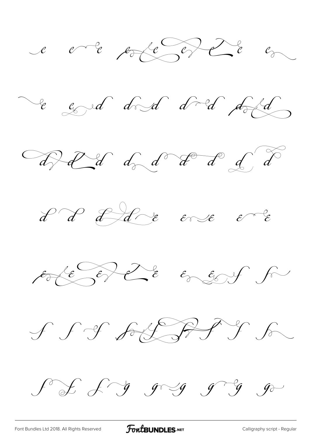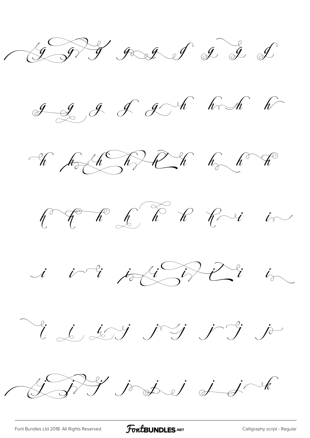GRS god of g g d

 $g$   $g$   $g$   $g$   $h$   $h$   $h$ 







Videris 19 19 ja

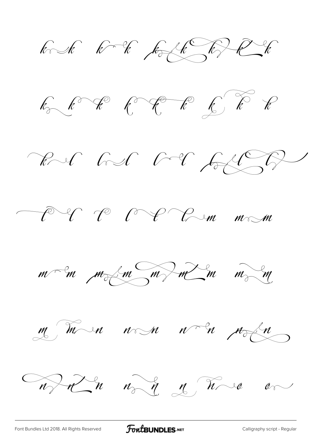bodh bodh bolk bir Rh  $k_{0}$   $k_{0}$   $k_{0}$   $k_{0}$   $k_{0}$   $k_{0}$   $k_{0}$ Rul hel bol follow PU P P P Du mm  $m < m$   $m < m < m < m < m < m$ m man non non modu Wolch wit & hve on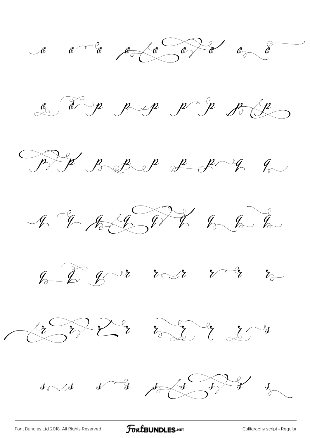













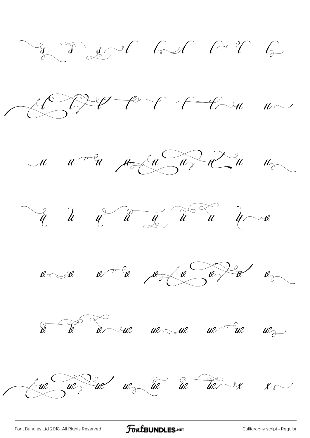